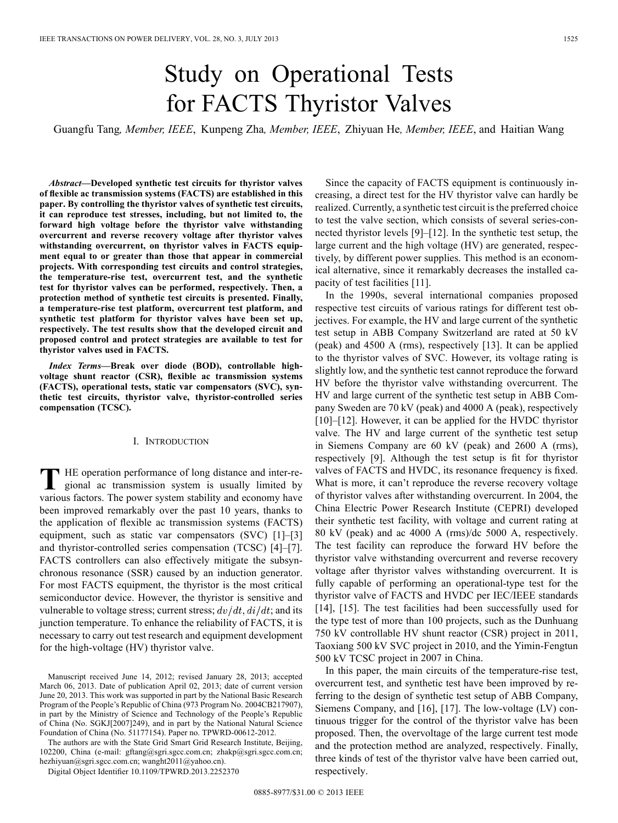# Study on Operational Tests for FACTS Thyristor Valves

Guangfu Tang*, Member, IEEE*, Kunpeng Zha*, Member, IEEE*, Zhiyuan He*, Member, IEEE*, and Haitian Wang

*Abstract—***Developed synthetic test circuits for thyristor valves of flexible ac transmission systems (FACTS) are established in this paper. By controlling the thyristor valves of synthetic test circuits, it can reproduce test stresses, including, but not limited to, the forward high voltage before the thyristor valve withstanding overcurrent and reverse recovery voltage after thyristor valves withstanding overcurrent, on thyristor valves in FACTS equipment equal to or greater than those that appear in commercial projects. With corresponding test circuits and control strategies, the temperature-rise test, overcurrent test, and the synthetic test for thyristor valves can be performed, respectively. Then, a protection method of synthetic test circuits is presented. Finally, a temperature-rise test platform, overcurrent test platform, and synthetic test platform for thyristor valves have been set up, respectively. The test results show that the developed circuit and proposed control and protect strategies are available to test for thyristor valves used in FACTS.**

*Index Terms—***Break over diode (BOD), controllable highvoltage shunt reactor (CSR), flexible ac transmission systems (FACTS), operational tests, static var compensators (SVC), synthetic test circuits, thyristor valve, thyristor-controlled series compensation (TCSC).**

#### I. INTRODUCTION

**T** HE operation performance of long distance and inter-regional ac transmission system is usually limited by various factors. The power system stability and economy have been improved remarkably over the past 10 years, thanks to the application of flexible ac transmission systems (FACTS) equipment, such as static var compensators (SVC) [1]–[3] and thyristor-controlled series compensation (TCSC) [4]–[7]. FACTS controllers can also effectively mitigate the subsynchronous resonance (SSR) caused by an induction generator. For most FACTS equipment, the thyristor is the most critical semiconductor device. However, the thyristor is sensitive and vulnerable to voltage stress; current stress;  $dv/dt$ ,  $di/dt$ ; and its junction temperature. To enhance the reliability of FACTS, it is necessary to carry out test research and equipment development for the high-voltage (HV) thyristor valve.

The authors are with the State Grid Smart Grid Research Institute, Beijing, 102200, China (e-mail: gftang@sgri.sgcc.com.cn; zhakp@sgri.sgcc.com.cn; hezhiyuan@sgri.sgcc.com.cn; wanght2011@yahoo.cn).

Digital Object Identifier 10.1109/TPWRD.2013.2252370

Since the capacity of FACTS equipment is continuously increasing, a direct test for the HV thyristor valve can hardly be realized. Currently, a synthetic test circuit is the preferred choice to test the valve section, which consists of several series-connected thyristor levels [9]–[12]. In the synthetic test setup, the large current and the high voltage (HV) are generated, respectively, by different power supplies. This method is an economical alternative, since it remarkably decreases the installed capacity of test facilities [11].

In the 1990s, several international companies proposed respective test circuits of various ratings for different test objectives. For example, the HV and large current of the synthetic test setup in ABB Company Switzerland are rated at 50 kV (peak) and 4500 A (rms), respectively [13]. It can be applied to the thyristor valves of SVC. However, its voltage rating is slightly low, and the synthetic test cannot reproduce the forward HV before the thyristor valve withstanding overcurrent. The HV and large current of the synthetic test setup in ABB Company Sweden are 70 kV (peak) and 4000 A (peak), respectively [10]–[12]. However, it can be applied for the HVDC thyristor valve. The HV and large current of the synthetic test setup in Siemens Company are 60 kV (peak) and 2600 A (rms), respectively [9]. Although the test setup is fit for thyristor valves of FACTS and HVDC, its resonance frequency is fixed. What is more, it can't reproduce the reverse recovery voltage of thyristor valves after withstanding overcurrent. In 2004, the China Electric Power Research Institute (CEPRI) developed their synthetic test facility, with voltage and current rating at 80 kV (peak) and ac 4000 A (rms)/dc 5000 A, respectively. The test facility can reproduce the forward HV before the thyristor valve withstanding overcurrent and reverse recovery voltage after thyristor valves withstanding overcurrent. It is fully capable of performing an operational-type test for the thyristor valve of FACTS and HVDC per IEC/IEEE standards [14], [15]. The test facilities had been successfully used for the type test of more than 100 projects, such as the Dunhuang 750 kV controllable HV shunt reactor (CSR) project in 2011, Taoxiang 500 kV SVC project in 2010, and the Yimin-Fengtun 500 kV TCSC project in 2007 in China.

In this paper, the main circuits of the temperature-rise test, overcurrent test, and synthetic test have been improved by referring to the design of synthetic test setup of ABB Company, Siemens Company, and [16], [17]. The low-voltage (LV) continuous trigger for the control of the thyristor valve has been proposed. Then, the overvoltage of the large current test mode and the protection method are analyzed, respectively. Finally, three kinds of test of the thyristor valve have been carried out, respectively.

Manuscript received June 14, 2012; revised January 28, 2013; accepted March 06, 2013. Date of publication April 02, 2013; date of current version June 20, 2013. This work was supported in part by the National Basic Research Program of the People's Republic of China (973 Program No. 2004CB217907), in part by the Ministry of Science and Technology of the People's Republic of China (No. SGKJ[2007]249), and in part by the National Natural Science Foundation of China (No. 51177154). Paper no. TPWRD-00612-2012.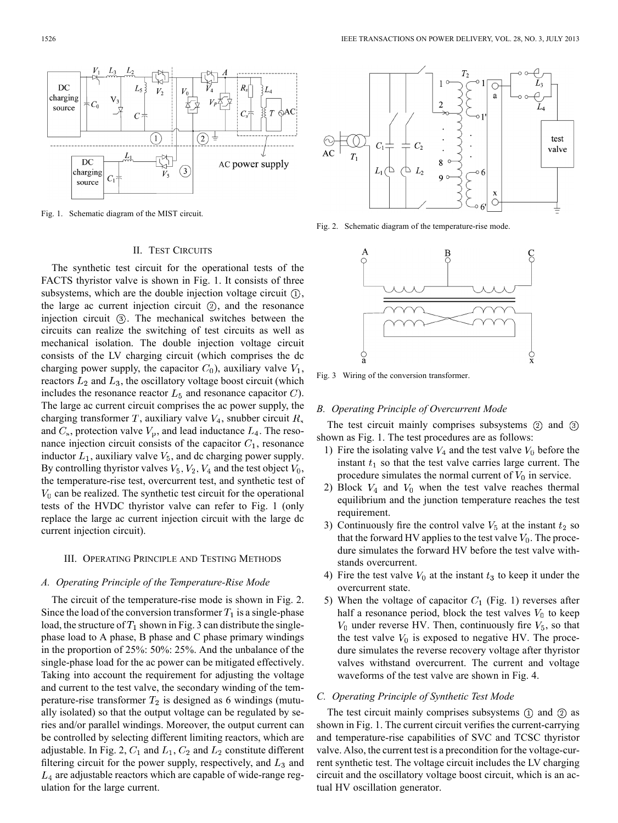

Fig. 1. Schematic diagram of the MIST circuit.

#### II. TEST CIRCUITS

The synthetic test circuit for the operational tests of the FACTS thyristor valve is shown in Fig. 1. It consists of three subsystems, which are the double injection voltage circuit  $(1)$ , the large ac current injection circuit  $(2)$ , and the resonance injection circuit  $(3)$ . The mechanical switches between the circuits can realize the switching of test circuits as well as mechanical isolation. The double injection voltage circuit consists of the LV charging circuit (which comprises the dc charging power supply, the capacitor  $C_0$ ), auxiliary valve  $V_1$ , reactors  $L_2$  and  $L_3$ , the oscillatory voltage boost circuit (which includes the resonance reactor  $L_5$  and resonance capacitor  $C$ ). The large ac current circuit comprises the ac power supply, the charging transformer T, auxiliary valve  $V_4$ , snubber circuit  $R_s$ and  $C_s$ , protection valve  $V_p$ , and lead inductance  $L_4$ . The resonance injection circuit consists of the capacitor  $C_1$ , resonance inductor  $L_1$ , auxiliary valve  $V_5$ , and dc charging power supply. By controlling thyristor valves  $V_5$ ,  $V_2$ ,  $V_4$  and the test object  $V_0$ , the temperature-rise test, overcurrent test, and synthetic test of  $V_0$  can be realized. The synthetic test circuit for the operational tests of the HVDC thyristor valve can refer to Fig. 1 (only replace the large ac current injection circuit with the large dc current injection circuit).

### III. OPERATING PRINCIPLE AND TESTING METHODS

## *A. Operating Principle of the Temperature-Rise Mode*

The circuit of the temperature-rise mode is shown in Fig. 2. Since the load of the conversion transformer  $T_1$  is a single-phase load, the structure of  $T_1$  shown in Fig. 3 can distribute the singlephase load to A phase, B phase and C phase primary windings in the proportion of 25%: 50%: 25%. And the unbalance of the single-phase load for the ac power can be mitigated effectively. Taking into account the requirement for adjusting the voltage and current to the test valve, the secondary winding of the temperature-rise transformer  $T_2$  is designed as 6 windings (mutually isolated) so that the output voltage can be regulated by series and/or parallel windings. Moreover, the output current can be controlled by selecting different limiting reactors, which are adjustable. In Fig. 2,  $C_1$  and  $L_1$ ,  $C_2$  and  $L_2$  constitute different filtering circuit for the power supply, respectively, and  $L_3$  and  $L_4$  are adjustable reactors which are capable of wide-range regulation for the large current.



Fig. 2. Schematic diagram of the temperature-rise mode.



Fig. 3 Wiring of the conversion transformer.

#### *B. Operating Principle of Overcurrent Mode*

The test circuit mainly comprises subsystems  $(2)$  and  $(3)$ shown as Fig. 1. The test procedures are as follows:

- 1) Fire the isolating valve  $V_4$  and the test valve  $V_0$  before the instant  $t_1$  so that the test valve carries large current. The procedure simulates the normal current of  $V_0$  in service.
- 2) Block  $V_4$  and  $V_0$  when the test valve reaches thermal equilibrium and the junction temperature reaches the test requirement.
- 3) Continuously fire the control valve  $V_5$  at the instant  $t_2$  so that the forward HV applies to the test valve  $V_0$ . The procedure simulates the forward HV before the test valve withstands overcurrent.
- 4) Fire the test valve  $V_0$  at the instant  $t_3$  to keep it under the overcurrent state.
- 5) When the voltage of capacitor  $C_1$  (Fig. 1) reverses after half a resonance period, block the test valves  $V_0$  to keep  $V_0$  under reverse HV. Then, continuously fire  $V_5$ , so that the test valve  $V_0$  is exposed to negative HV. The procedure simulates the reverse recovery voltage after thyristor valves withstand overcurrent. The current and voltage waveforms of the test valve are shown in Fig. 4.

# *C. Operating Principle of Synthetic Test Mode*

The test circuit mainly comprises subsystems  $(1)$  and  $(2)$  as shown in Fig. 1. The current circuit verifies the current-carrying and temperature-rise capabilities of SVC and TCSC thyristor valve. Also, the current test is a precondition for the voltage-current synthetic test. The voltage circuit includes the LV charging circuit and the oscillatory voltage boost circuit, which is an actual HV oscillation generator.